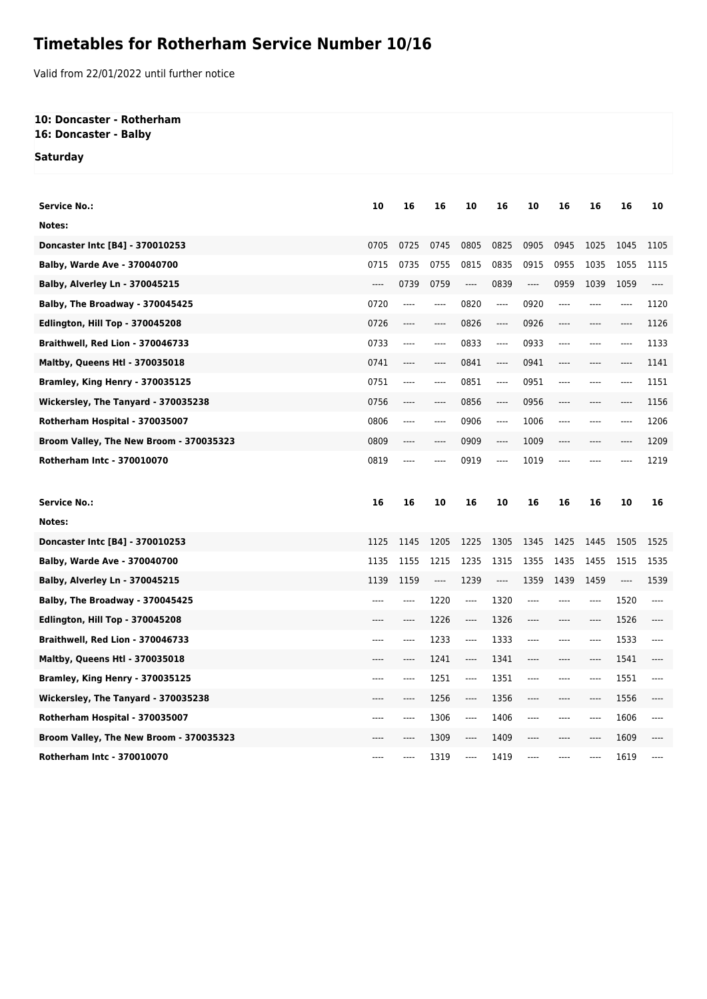## **Timetables for Rotherham Service Number 10/16**

Valid from 22/01/2022 until further notice

## **10: Doncaster - Rotherham 16: Doncaster - Balby**

**Saturday**

| <b>Service No.:</b>                     | 10   | 16       | 16    | 10    | 16                            | 10    | 16    | 16       | 16    | 10    |
|-----------------------------------------|------|----------|-------|-------|-------------------------------|-------|-------|----------|-------|-------|
| Notes:                                  |      |          |       |       |                               |       |       |          |       |       |
| Doncaster Intc [B4] - 370010253         | 0705 | 0725     | 0745  | 0805  | 0825                          | 0905  | 0945  | 1025     | 1045  | 1105  |
| <b>Balby, Warde Ave - 370040700</b>     | 0715 | 0735     | 0755  | 0815  | 0835                          | 0915  | 0955  | 1035     | 1055  | 1115  |
| <b>Balby, Alverley Ln - 370045215</b>   | ---- | 0739     | 0759  | ----  | 0839                          | ----  | 0959  | 1039     | 1059  | $---$ |
| Balby, The Broadway - 370045425         | 0720 | ----     | ----  | 0820  | ----                          | 0920  | $---$ | ----     | ----  | 1120  |
| Edlington, Hill Top - 370045208         | 0726 | ----     | ----  | 0826  | $---$                         | 0926  | ----  | ----     | ----  | 1126  |
| Braithwell, Red Lion - 370046733        | 0733 | $---$    | $---$ | 0833  | $---$                         | 0933  | $---$ | $---$    | $---$ | 1133  |
| <b>Maltby, Queens Htl - 370035018</b>   | 0741 | ----     | ----  | 0841  | $\hspace{1.5cm} \textbf{---}$ | 0941  | ----  | ----     | ----  | 1141  |
| Bramley, King Henry - 370035125         | 0751 | ----     | ----  | 0851  | $---$                         | 0951  | ----  | ----     | ----  | 1151  |
| Wickersley, The Tanyard - 370035238     | 0756 | ----     | ----  | 0856  | $---$                         | 0956  | ----  | ----     | ----  | 1156  |
| Rotherham Hospital - 370035007          | 0806 | $\cdots$ | ----  | 0906  | ----                          | 1006  | $---$ | $---$    | ----  | 1206  |
| Broom Valley, The New Broom - 370035323 | 0809 | $---$    | ----  | 0909  | $---$                         | 1009  | $---$ | $---$    | ----  | 1209  |
| Rotherham Intc - 370010070              | 0819 | ----     |       | 0919  | ----                          | 1019  | ----  | ----     |       | 1219  |
|                                         |      |          |       |       |                               |       |       |          |       |       |
|                                         |      |          |       |       |                               |       |       |          |       |       |
| <b>Service No.:</b>                     | 16   | 16       | 10    | 16    | 10                            | 16    | 16    | 16       | 10    | 16    |
| Notes:                                  |      |          |       |       |                               |       |       |          |       |       |
| Doncaster Intc [B4] - 370010253         | 1125 | 1145     | 1205  | 1225  | 1305                          | 1345  | 1425  | 1445     | 1505  | 1525  |
| <b>Balby, Warde Ave - 370040700</b>     | 1135 | 1155     | 1215  | 1235  | 1315                          | 1355  | 1435  | 1455     | 1515  | 1535  |
| <b>Balby, Alverley Ln - 370045215</b>   | 1139 | 1159     | ----  | 1239  | ----                          | 1359  | 1439  | 1459     | ----  | 1539  |
| Balby, The Broadway - 370045425         | ---- | ----     | 1220  | ----  | 1320                          | ----  | ----  | ----     | 1520  | $---$ |
| <b>Edlington, Hill Top - 370045208</b>  | ---- | ----     | 1226  | ----  | 1326                          | ----  | $---$ | $\cdots$ | 1526  | $---$ |
| Braithwell, Red Lion - 370046733        | ---- | ----     | 1233  | ----  | 1333                          | $---$ | $---$ | $---$    | 1533  | $---$ |
| <b>Maltby, Queens Htl - 370035018</b>   |      | ----     | 1241  | ----  | 1341                          | ----  | ----  | ----     | 1541  | ----  |
| Bramley, King Henry - 370035125         | ---- | ----     | 1251  | ----  | 1351                          | ----  | ----  | ----     | 1551  | $---$ |
| Wickersley, The Tanyard - 370035238     | ---- | ----     | 1256  | $---$ | 1356                          | ----  | $---$ | $---$    | 1556  | $---$ |
| Rotherham Hospital - 370035007          | ---- | ----     | 1306  | ----  | 1406                          | ----  | ----  | $---$    | 1606  | ----  |
| Broom Valley, The New Broom - 370035323 |      | ----     | 1309  | ----  | 1409                          | ----  | ----  | $---$    | 1609  |       |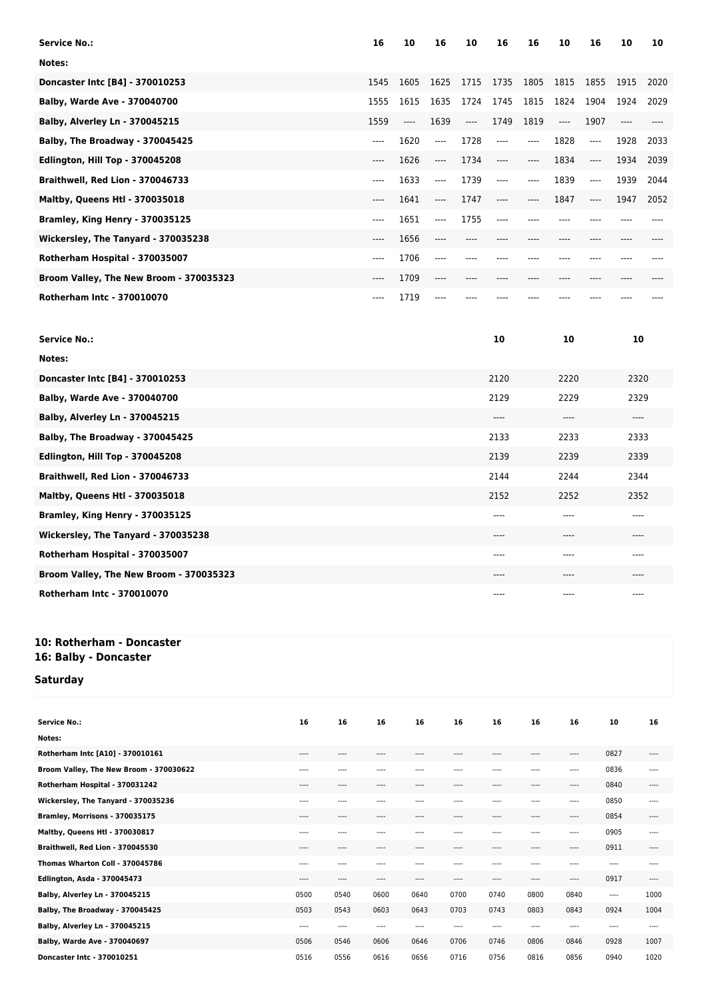| <b>Service No.:</b>                     | 16      | 10    | 16    | 10    | 16    | 16    | 10    | 16                    | 10   | 10   |
|-----------------------------------------|---------|-------|-------|-------|-------|-------|-------|-----------------------|------|------|
| Notes:                                  |         |       |       |       |       |       |       |                       |      |      |
| Doncaster Intc [B4] - 370010253         | 1545    | 1605  | 1625  | 1715  | 1735  | 1805  | 1815  | 1855                  | 1915 | 2020 |
| Balby, Warde Ave - 370040700            | 1555    | 1615  | 1635  | 1724  | 1745  | 1815  | 1824  | 1904                  | 1924 | 2029 |
| <b>Balby, Alverley Ln - 370045215</b>   | 1559    | $---$ | 1639  | $---$ | 1749  | 1819  | $---$ | 1907                  |      |      |
| Balby, The Broadway - 370045425         | $---$   | 1620  | $---$ | 1728  | $---$ | $---$ | 1828  | $\qquad \qquad - - -$ | 1928 | 2033 |
| <b>Edlington, Hill Top - 370045208</b>  | ----    | 1626  | ----  | 1734  | $---$ | ----  | 1834  | $---$                 | 1934 | 2039 |
| Braithwell, Red Lion - 370046733        | $-- -$  | 1633  | ----  | 1739  | ----  | ----  | 1839  | $---$                 | 1939 | 2044 |
| <b>Maltby, Queens Htl - 370035018</b>   | ----    | 1641  | $---$ | 1747  | ----  | ----  | 1847  | $---$                 | 1947 | 2052 |
| Bramley, King Henry - 370035125         | $---$   | 1651  | ----  | 1755  | $---$ |       |       |                       |      |      |
| Wickersley, The Tanyard - 370035238     | ----    | 1656  | ----  | ----  |       |       | ----  |                       |      |      |
| Rotherham Hospital - 370035007          | ----    | 1706  | ----  |       |       |       |       |                       |      |      |
| Broom Valley, The New Broom - 370035323 | $-----$ | 1709  | ----  | ----  |       |       |       |                       |      |      |
| Rotherham Intc - 370010070              | ----    | 1719  | ----  |       |       |       |       |                       |      |      |

| <b>Service No.:</b>                     | 10    | 10      | 10    |
|-----------------------------------------|-------|---------|-------|
| Notes:                                  |       |         |       |
| Doncaster Intc [B4] - 370010253         | 2120  | 2220    | 2320  |
| Balby, Warde Ave - 370040700            | 2129  | 2229    | 2329  |
| Balby, Alverley Ln - 370045215          | $---$ | $--- -$ | $---$ |
| Balby, The Broadway - 370045425         | 2133  | 2233    | 2333  |
| Edlington, Hill Top - 370045208         | 2139  | 2239    | 2339  |
| Braithwell, Red Lion - 370046733        | 2144  | 2244    | 2344  |
| <b>Maltby, Queens Htl - 370035018</b>   | 2152  | 2252    | 2352  |
| Bramley, King Henry - 370035125         | $---$ | ----    | ----  |
| Wickersley, The Tanyard - 370035238     | $---$ | ----    | ----  |
| Rotherham Hospital - 370035007          | $---$ | ----    | ----  |
| Broom Valley, The New Broom - 370035323 | $---$ | ----    | ----  |
| <b>Rotherham Intc - 370010070</b>       | $---$ | ----    | ----  |

## **10: Rotherham - Doncaster 16: Balby - Doncaster**

## **Saturday**

| <b>Service No.:</b>                     | 16   | 16    | 16    | 16   | 16        | 16        | 16    | 16       | 10    | 16    |
|-----------------------------------------|------|-------|-------|------|-----------|-----------|-------|----------|-------|-------|
| Notes:                                  |      |       |       |      |           |           |       |          |       |       |
| Rotherham Intc [A10] - 370010161        | ---- | ----  | $---$ | ---- | ----      | ----      | $---$ | $\cdots$ | 0827  | $---$ |
| Broom Valley, The New Broom - 370030622 | ---- | ----  | $---$ | ---- | ----      | ----      | $---$ | $---$    | 0836  | $---$ |
| Rotherham Hospital - 370031242          | ---- | $---$ | $---$ | ---- | $- - - -$ | ----      | $---$ | $---$    | 0840  | $---$ |
| Wickersley, The Tanyard - 370035236     | ---- | ----  | ----  | ---- | ----      | ----      | $---$ | ----     | 0850  | $---$ |
| Bramley, Morrisons - 370035175          | ---- | ----  | $---$ | ---- | ----      | ----      | $---$ | $\cdots$ | 0854  | $---$ |
| Maltby, Queens Htl - 370030817          | ---- | ----  | ----  | ---- | ----      | ----      | ----  | $---$    | 0905  | ----  |
| Braithwell, Red Lion - 370045530        | ---- | $---$ | $---$ | ---- | ----      | ----      | $---$ | $---$    | 0911  | $---$ |
| Thomas Wharton Coll - 370045786         | ---- | $---$ | $---$ | ---- | $---$     | ----      | $---$ | $---$    | $---$ | $---$ |
| Edlington, Asda - 370045473             | ---- | ----  | $---$ | ---- | ----      | $- - - -$ | $---$ | $---$    | 0917  | $---$ |
| Balby, Alverley Ln - 370045215          | 0500 | 0540  | 0600  | 0640 | 0700      | 0740      | 0800  | 0840     | ----  | 1000  |
| Balby, The Broadway - 370045425         | 0503 | 0543  | 0603  | 0643 | 0703      | 0743      | 0803  | 0843     | 0924  | 1004  |
| Balby, Alverley Ln - 370045215          | ---- | ----  | $---$ | ---- | ----      | ----      | $---$ | $---$    | ----  | ----  |
| Balby, Warde Ave - 370040697            | 0506 | 0546  | 0606  | 0646 | 0706      | 0746      | 0806  | 0846     | 0928  | 1007  |
| Doncaster Intc - 370010251              | 0516 | 0556  | 0616  | 0656 | 0716      | 0756      | 0816  | 0856     | 0940  | 1020  |